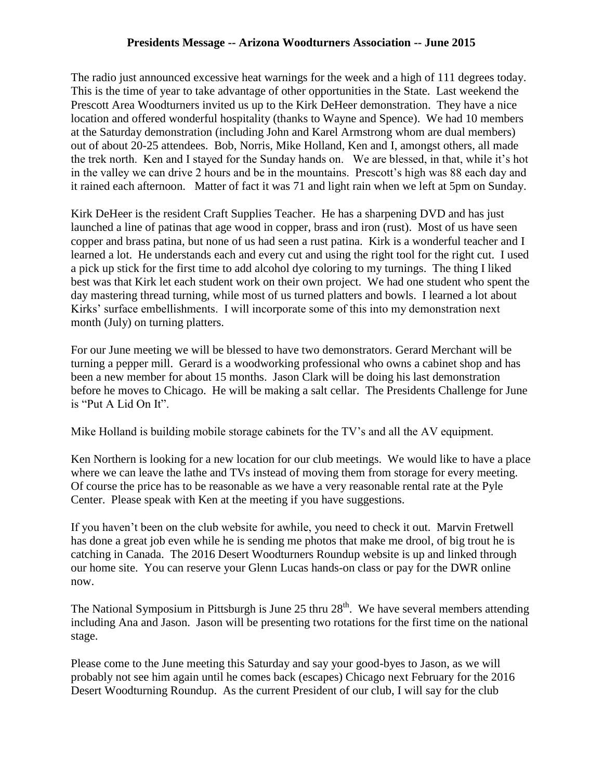## **Presidents Message -- Arizona Woodturners Association -- June 2015**

The radio just announced excessive heat warnings for the week and a high of 111 degrees today. This is the time of year to take advantage of other opportunities in the State. Last weekend the Prescott Area Woodturners invited us up to the Kirk DeHeer demonstration. They have a nice location and offered wonderful hospitality (thanks to Wayne and Spence). We had 10 members at the Saturday demonstration (including John and Karel Armstrong whom are dual members) out of about 20-25 attendees. Bob, Norris, Mike Holland, Ken and I, amongst others, all made the trek north. Ken and I stayed for the Sunday hands on. We are blessed, in that, while it's hot in the valley we can drive 2 hours and be in the mountains. Prescott's high was 88 each day and it rained each afternoon. Matter of fact it was 71 and light rain when we left at 5pm on Sunday.

Kirk DeHeer is the resident Craft Supplies Teacher. He has a sharpening DVD and has just launched a line of patinas that age wood in copper, brass and iron (rust). Most of us have seen copper and brass patina, but none of us had seen a rust patina. Kirk is a wonderful teacher and I learned a lot. He understands each and every cut and using the right tool for the right cut. I used a pick up stick for the first time to add alcohol dye coloring to my turnings. The thing I liked best was that Kirk let each student work on their own project. We had one student who spent the day mastering thread turning, while most of us turned platters and bowls. I learned a lot about Kirks' surface embellishments. I will incorporate some of this into my demonstration next month (July) on turning platters.

For our June meeting we will be blessed to have two demonstrators. Gerard Merchant will be turning a pepper mill. Gerard is a woodworking professional who owns a cabinet shop and has been a new member for about 15 months. Jason Clark will be doing his last demonstration before he moves to Chicago. He will be making a salt cellar. The Presidents Challenge for June is "Put A Lid On It".

Mike Holland is building mobile storage cabinets for the TV's and all the AV equipment.

Ken Northern is looking for a new location for our club meetings. We would like to have a place where we can leave the lathe and TVs instead of moving them from storage for every meeting. Of course the price has to be reasonable as we have a very reasonable rental rate at the Pyle Center. Please speak with Ken at the meeting if you have suggestions.

If you haven't been on the club website for awhile, you need to check it out. Marvin Fretwell has done a great job even while he is sending me photos that make me drool, of big trout he is catching in Canada. The 2016 Desert Woodturners Roundup website is up and linked through our home site. You can reserve your Glenn Lucas hands-on class or pay for the DWR online now.

The National Symposium in Pittsburgh is June 25 thru  $28<sup>th</sup>$ . We have several members attending including Ana and Jason. Jason will be presenting two rotations for the first time on the national stage.

Please come to the June meeting this Saturday and say your good-byes to Jason, as we will probably not see him again until he comes back (escapes) Chicago next February for the 2016 Desert Woodturning Roundup. As the current President of our club, I will say for the club